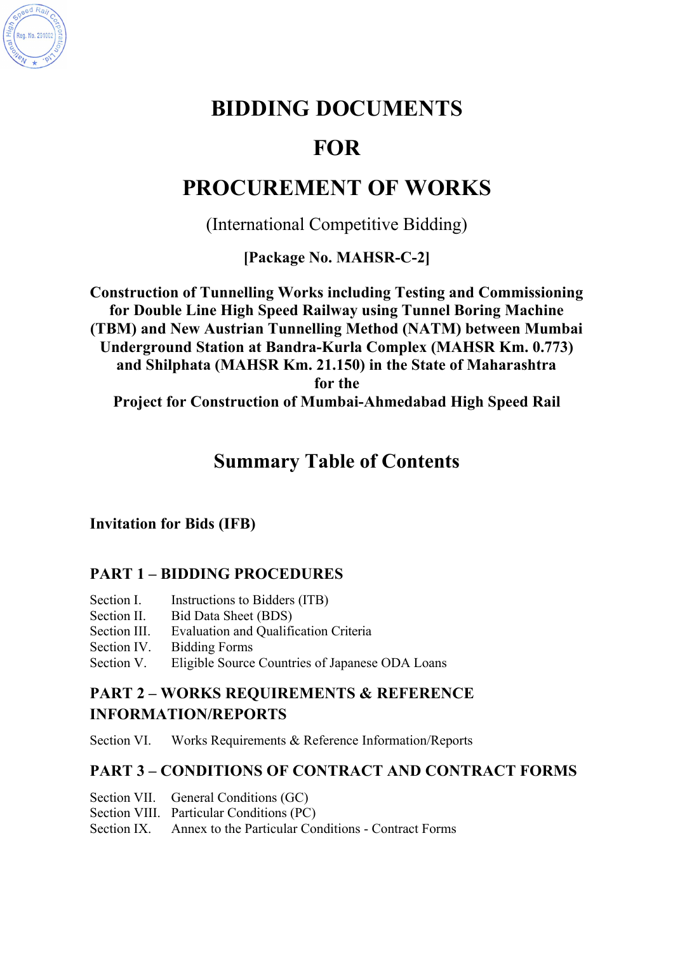

# **BIDDING DOCUMENTS**

# **FOR**

# **PROCUREMENT OF WORKS**

(International Competitive Bidding)

**[Package No. MAHSR-C-2]**

**Construction of Tunnelling Works including Testing and Commissioning for Double Line High Speed Railway using Tunnel Boring Machine (TBM) and New Austrian Tunnelling Method (NATM) between Mumbai Underground Station at Bandra-Kurla Complex (MAHSR Km. 0.773) and Shilphata (MAHSR Km. 21.150) in the State of Maharashtra for the Project for Construction of Mumbai-Ahmedabad High Speed Rail**

# **Summary Table of Contents**

**Invitation for Bids (IFB)**

# **PART 1 – BIDDING PROCEDURES**

- Section I. Instructions to Bidders (ITB)
- Section II. Bid Data Sheet (BDS)
- Section III. Evaluation and Qualification Criteria
- Section IV. Bidding Forms
- Section V. Eligible Source Countries of Japanese ODA Loans

# **PART 2 – WORKS REQUIREMENTS & REFERENCE INFORMATION/REPORTS**

Section VI. Works Requirements & Reference Information/Reports

# **PART 3 – CONDITIONS OF CONTRACT AND CONTRACT FORMS**

- Section VII. General Conditions (GC)
- Section VIII. Particular Conditions (PC)
- Section IX. Annex to the Particular Conditions Contract Forms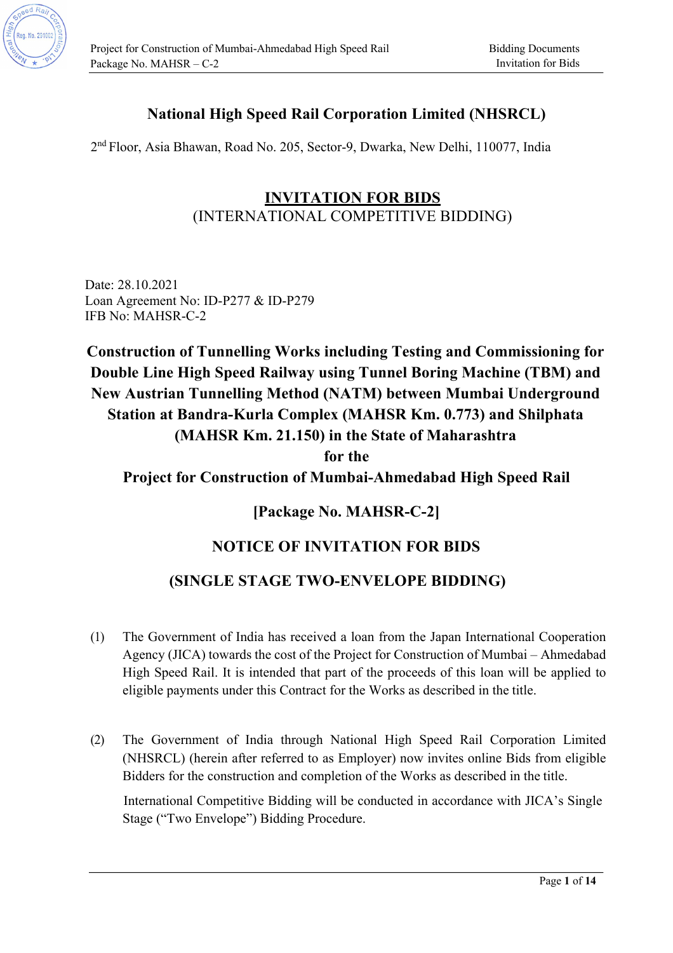

# **National High Speed Rail Corporation Limited (NHSRCL)**

2nd Floor, Asia Bhawan, Road No. 205, Sector-9, Dwarka, New Delhi, 110077, India

# **INVITATION FOR BIDS** (INTERNATIONAL COMPETITIVE BIDDING)

Date: 28.10.2021 Loan Agreement No: ID-P277 & ID-P279 IFB No: MAHSR-C-2

**Construction of Tunnelling Works including Testing and Commissioning for Double Line High Speed Railway using Tunnel Boring Machine (TBM) and New Austrian Tunnelling Method (NATM) between Mumbai Underground Station at Bandra-Kurla Complex (MAHSR Km. 0.773) and Shilphata (MAHSR Km. 21.150) in the State of Maharashtra for the Project for Construction of Mumbai-Ahmedabad High Speed Rail** 

# **[Package No. MAHSR-C-2]**

# **NOTICE OF INVITATION FOR BIDS**

## **(SINGLE STAGE TWO-ENVELOPE BIDDING)**

- (1) The Government of India has received a loan from the Japan International Cooperation Agency (JICA) towards the cost of the Project for Construction of Mumbai – Ahmedabad High Speed Rail. It is intended that part of the proceeds of this loan will be applied to eligible payments under this Contract for the Works as described in the title.
- (2) The Government of India through National High Speed Rail Corporation Limited (NHSRCL) (herein after referred to as Employer) now invites online Bids from eligible Bidders for the construction and completion of the Works as described in the title.

International Competitive Bidding will be conducted in accordance with JICA's Single Stage ("Two Envelope") Bidding Procedure.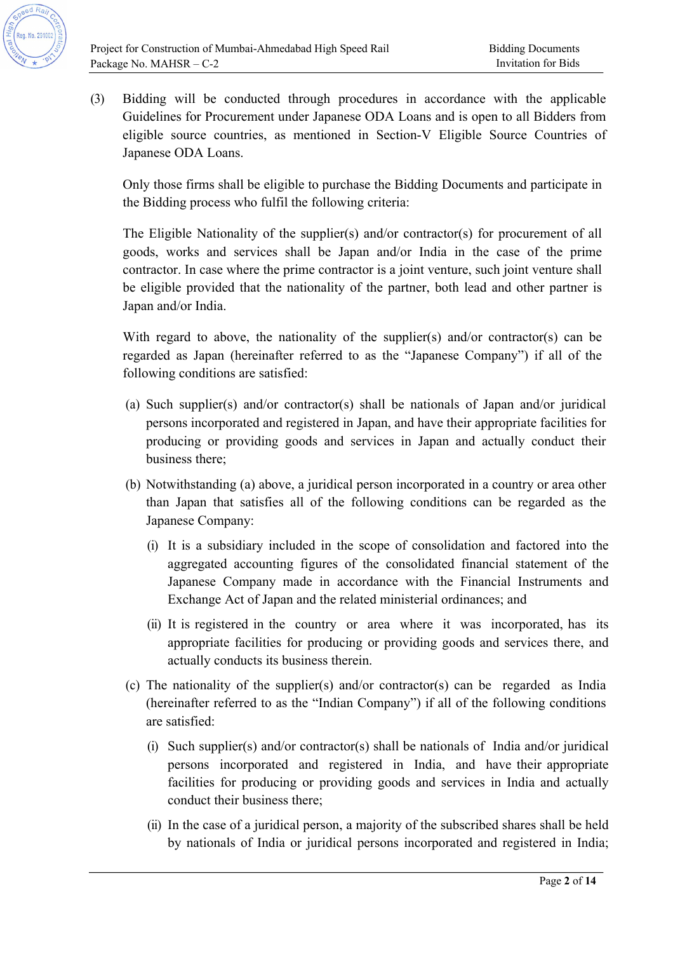

(3) Bidding will be conducted through procedures in accordance with the applicable Guidelines for Procurement under Japanese ODA Loans and is open to all Bidders from eligible source countries, as mentioned in Section-V Eligible Source Countries of Japanese ODA Loans.

Only those firms shall be eligible to purchase the Bidding Documents and participate in the Bidding process who fulfil the following criteria:

The Eligible Nationality of the supplier(s) and/or contractor(s) for procurement of all goods, works and services shall be Japan and/or India in the case of the prime contractor. In case where the prime contractor is a joint venture, such joint venture shall be eligible provided that the nationality of the partner, both lead and other partner is Japan and/or India.

With regard to above, the nationality of the supplier(s) and/or contractor(s) can be regarded as Japan (hereinafter referred to as the "Japanese Company") if all of the following conditions are satisfied:

- (a) Such supplier(s) and/or contractor(s) shall be nationals of Japan and/or juridical persons incorporated and registered in Japan, and have their appropriate facilities for producing or providing goods and services in Japan and actually conduct their business there;
- (b) Notwithstanding (a) above, a juridical person incorporated in a country or area other than Japan that satisfies all of the following conditions can be regarded as the Japanese Company:
	- (i) It is a subsidiary included in the scope of consolidation and factored into the aggregated accounting figures of the consolidated financial statement of the Japanese Company made in accordance with the Financial Instruments and Exchange Act of Japan and the related ministerial ordinances; and
	- (ii) It is registered in the country or area where it was incorporated, has its appropriate facilities for producing or providing goods and services there, and actually conducts its business therein.
- (c) The nationality of the supplier(s) and/or contractor(s) can be regarded as India (hereinafter referred to as the "Indian Company") if all of the following conditions are satisfied:
	- (i) Such supplier(s) and/or contractor(s) shall be nationals of India and/or juridical persons incorporated and registered in India, and have their appropriate facilities for producing or providing goods and services in India and actually conduct their business there;
	- (ii) In the case of a juridical person, a majority of the subscribed shares shall be held by nationals of India or juridical persons incorporated and registered in India;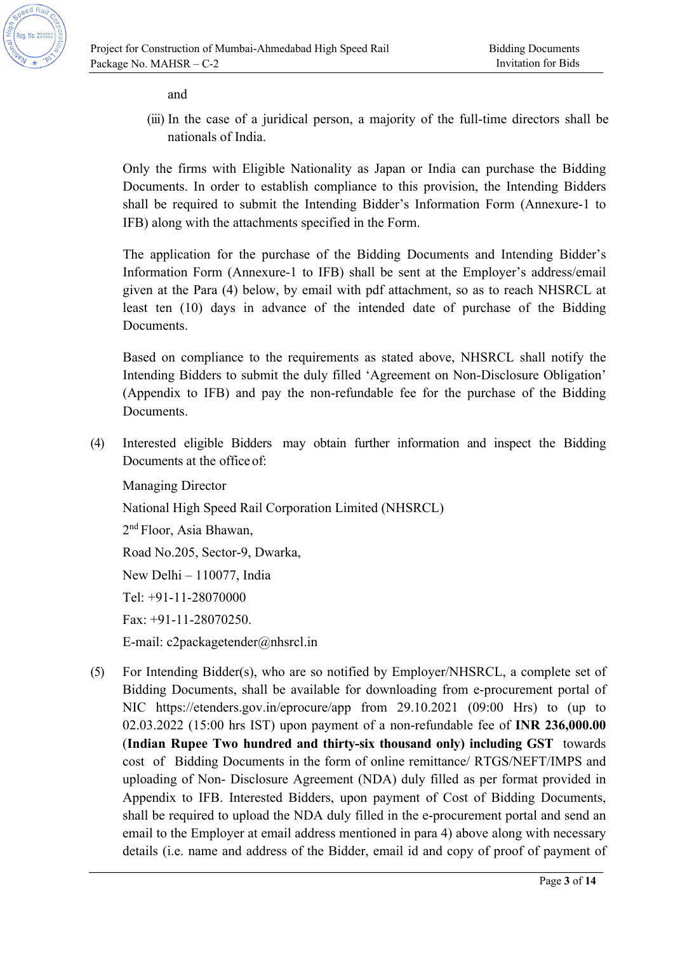

and

(iii) In the case of a juridical person, a majority of the full-time directors shall be nationals of India.

Only the firms with Eligible Nationality as Japan or India can purchase the Bidding Documents. In order to establish compliance to this provision, the Intending Bidders shall be required to submit the Intending Bidder's Information Form (Annexure-1 to IFB) along with the attachments specified in the Form.

The application for the purchase of the Bidding Documents and Intending Bidder's Information Form (Annexure-1 to IFB) shall be sent at the Employer's address/email given at the Para (4) below, by email with pdf attachment, so as to reach NHSRCL at least ten (10) days in advance of the intended date of purchase of the Bidding Documents.

Based on compliance to the requirements as stated above, NHSRCL shall notify the Intending Bidders to submit the duly filled 'Agreement on Non-Disclosure Obligation' (Appendix to IFB) and pay the non-refundable fee for the purchase of the Bidding Documents.

(4) Interested eligible Bidders may obtain further information and inspect the Bidding Documents at the office of:

Managing Director National High Speed Rail Corporation Limited (NHSRCL) 2nd Floor, Asia Bhawan, Road No.205, Sector-9, Dwarka, New Delhi – 110077, India Tel: +91-11-28070000 Fax: +91-11-28070250. E-mail: c2packagetender@nhsrcl.in

(5) For Intending Bidder(s), who are so notified by Employer/NHSRCL, a complete set of Bidding Documents, shall be available for downloading from e-procurement portal of NIC https://etenders.gov.in/eprocure/app from 29.10.2021 (09:00 Hrs) to (up to 02.03.2022 (15:00 hrs IST) upon payment of a non-refundable fee of **INR 236,000.00** (**Indian Rupee Two hundred and thirty-six thousand only) including GST** towards cost of Bidding Documents in the form of online remittance/ RTGS/NEFT/IMPS and uploading of Non- Disclosure Agreement (NDA) duly filled as per format provided in Appendix to IFB. Interested Bidders, upon payment of Cost of Bidding Documents, shall be required to upload the NDA duly filled in the e-procurement portal and send an email to the Employer at email address mentioned in para 4) above along with necessary details (i.e. name and address of the Bidder, email id and copy of proof of payment of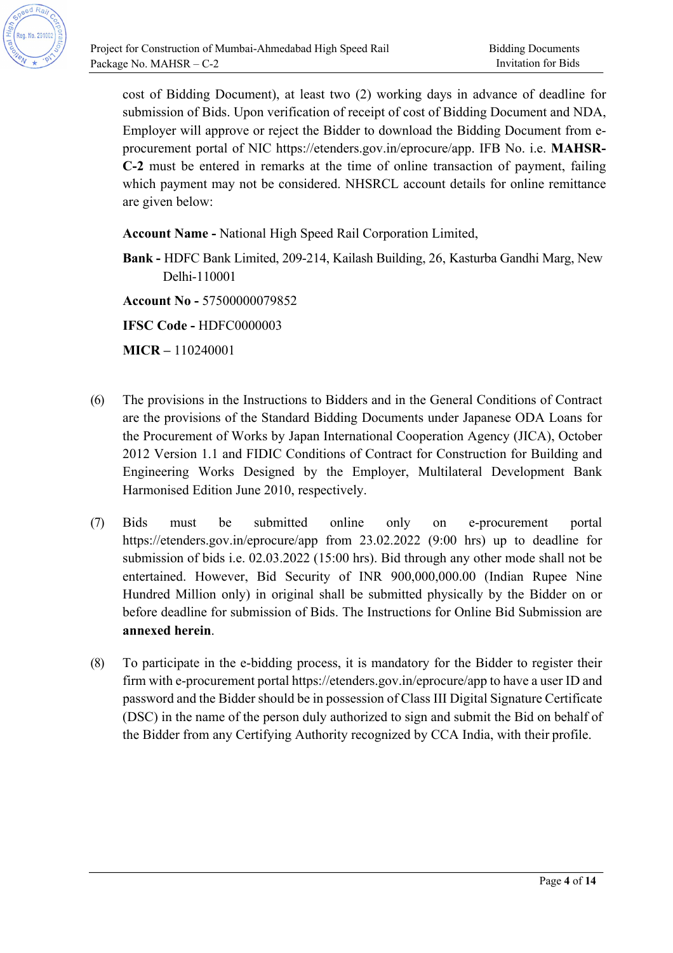

cost of Bidding Document), at least two (2) working days in advance of deadline for submission of Bids. Upon verification of receipt of cost of Bidding Document and NDA, Employer will approve or reject the Bidder to download the Bidding Document from eprocurement portal of NIC https://etenders.gov.in/eprocure/app. IFB No. i.e. **MAHSR-C-2** must be entered in remarks at the time of online transaction of payment, failing which payment may not be considered. NHSRCL account details for online remittance are given below:

**Account Name -** National High Speed Rail Corporation Limited,

**Bank -** HDFC Bank Limited, 209-214, Kailash Building, 26, Kasturba Gandhi Marg, New Delhi-110001

**Account No -** 57500000079852

**IFSC Code -** HDFC0000003

**MICR –** 110240001

- (6) The provisions in the Instructions to Bidders and in the General Conditions of Contract are the provisions of the Standard Bidding Documents under Japanese ODA Loans for the Procurement of Works by Japan International Cooperation Agency (JICA), October 2012 Version 1.1 and FIDIC Conditions of Contract for Construction for Building and Engineering Works Designed by the Employer, Multilateral Development Bank Harmonised Edition June 2010, respectively.
- (7) Bids must be submitted online only on e-procurement portal https://etenders.gov.in/eprocure/app from 23.02.2022 (9:00 hrs) up to deadline for submission of bids i.e. 02.03.2022 (15:00 hrs). Bid through any other mode shall not be entertained. However, Bid Security of INR 900,000,000.00 (Indian Rupee Nine Hundred Million only) in original shall be submitted physically by the Bidder on or before deadline for submission of Bids. The Instructions for Online Bid Submission are **annexed herein**.
- (8) To participate in the e-bidding process, it is mandatory for the Bidder to register their firm with e-procurement portal https://etenders.gov.in/eprocure/app to have a user ID and password and the Bidder should be in possession of Class III Digital Signature Certificate (DSC) in the name of the person duly authorized to sign and submit the Bid on behalf of the Bidder from any Certifying Authority recognized by CCA India, with their profile.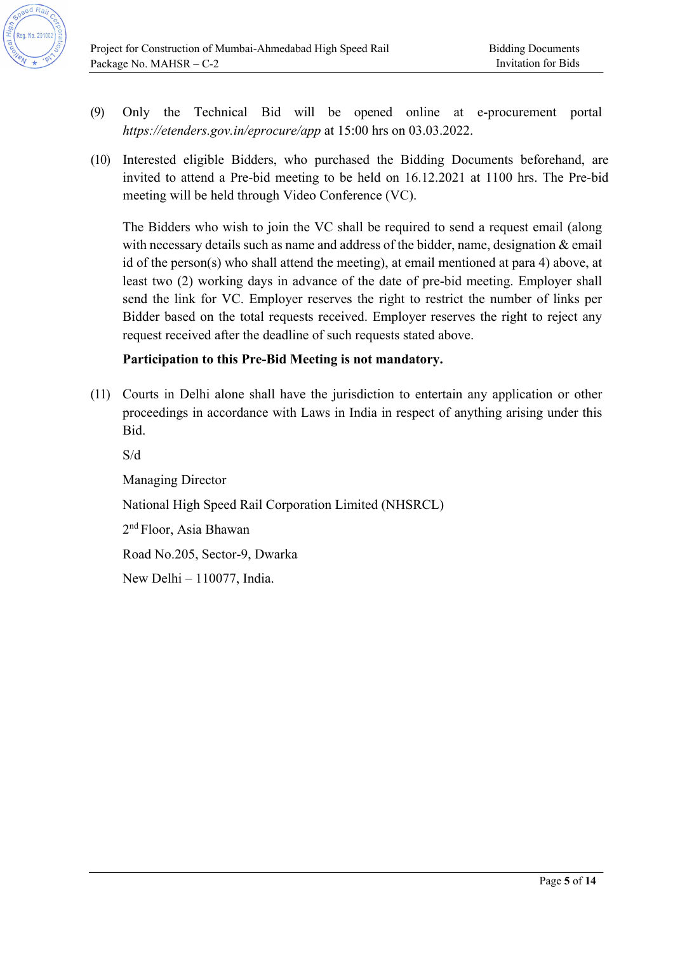- (9) Only the Technical Bid will be opened online at e-procurement portal *https://etenders.gov.in/eprocure/app* at 15:00 hrs on 03.03.2022.
- (10) Interested eligible Bidders, who purchased the Bidding Documents beforehand, are invited to attend a Pre-bid meeting to be held on 16.12.2021 at 1100 hrs. The Pre-bid meeting will be held through Video Conference (VC).

The Bidders who wish to join the VC shall be required to send a request email (along with necessary details such as name and address of the bidder, name, designation & email id of the person(s) who shall attend the meeting), at email mentioned at para 4) above, at least two (2) working days in advance of the date of pre-bid meeting. Employer shall send the link for VC. Employer reserves the right to restrict the number of links per Bidder based on the total requests received. Employer reserves the right to reject any request received after the deadline of such requests stated above.

### **Participation to this Pre-Bid Meeting is not mandatory.**

(11) Courts in Delhi alone shall have the jurisdiction to entertain any application or other proceedings in accordance with Laws in India in respect of anything arising under this Bid.

S/d

Managing Director National High Speed Rail Corporation Limited (NHSRCL) 2nd Floor, Asia Bhawan Road No.205, Sector-9, Dwarka New Delhi – 110077, India.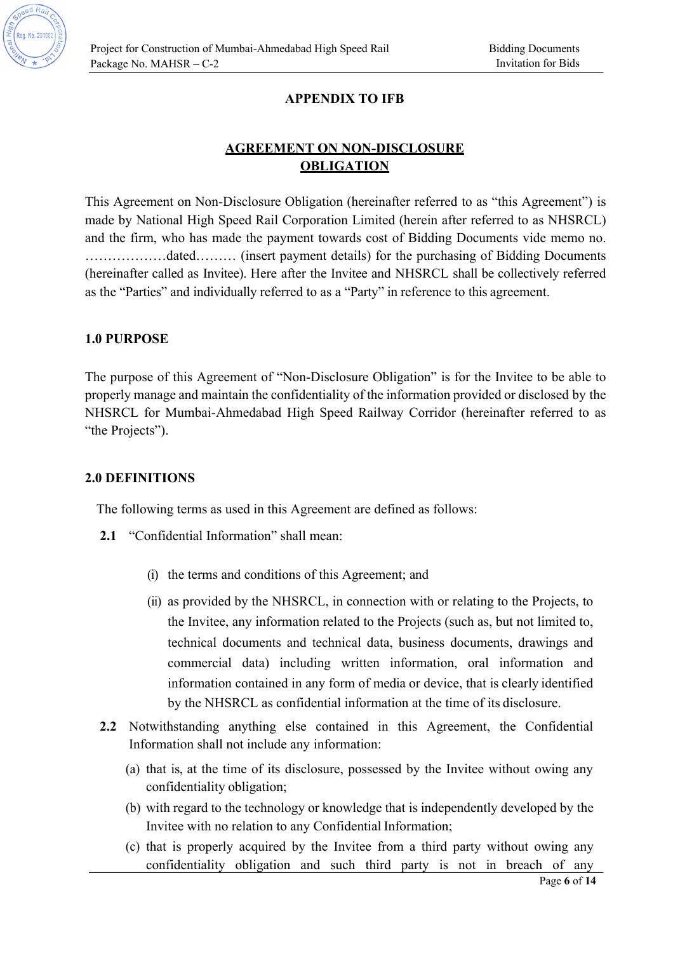

### **APPENDIX TO IFB**

## **AGREEMENT ON NON-DISCLOSURE OBLIGATION**

This Agreement on Non-Disclosure Obligation (hereinafter referred to as "this Agreement") is made by National High Speed Rail Corporation Limited (herein after referred to as NHSRCL) and the firm, who has made the payment towards cost of Bidding Documents vide memo no. ………………dated……… (insert payment details) for the purchasing of Bidding Documents (hereinafter called as Invitee). Here after the Invitee and NHSRCL shall be collectively referred as the "Parties" and individually referred to as a "Party" in reference to this agreement.

#### **1.0 PURPOSE**

The purpose of this Agreement of "Non-Disclosure Obligation" is for the Invitee to be able to properly manage and maintain the confidentiality of the information provided or disclosed by the NHSRCL for Mumbai-Ahmedabad High Speed Railway Corridor (hereinafter referred to as "the Projects").

#### **2.0 DEFINITIONS**

The following terms as used in this Agreement are defined as follows:

- **2.1** "Confidential Information" shall mean:
	- (i) the terms and conditions of this Agreement; and
	- (ii) as provided by the NHSRCL, in connection with or relating to the Projects, to the Invitee, any information related to the Projects (such as, but not limited to, technical documents and technical data, business documents, drawings and commercial data) including written information, oral information and information contained in any form of media or device, that is clearly identified by the NHSRCL as confidential information at the time of its disclosure.
- **2.2** Notwithstanding anything else contained in this Agreement, the Confidential Information shall not include any information:
	- (a) that is, at the time of its disclosure, possessed by the Invitee without owing any confidentiality obligation;
	- (b) with regard to the technology or knowledge that is independently developed by the Invitee with no relation to any Confidential Information;
	- (c) that is properly acquired by the Invitee from a third party without owing any confidentiality obligation and such third party is not in breach of any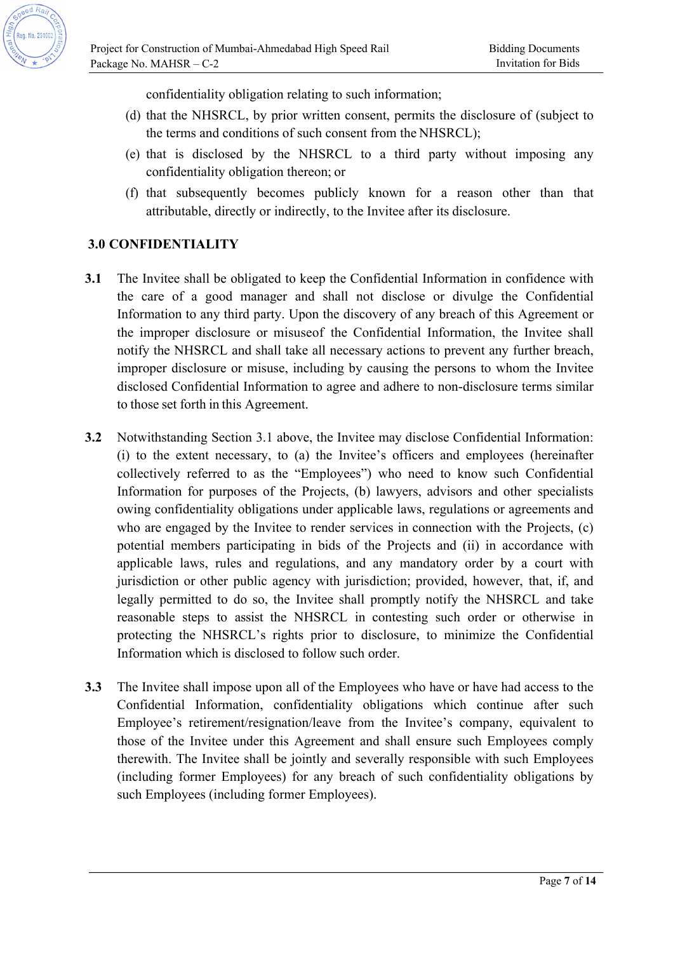confidentiality obligation relating to such information;

- (d) that the NHSRCL, by prior written consent, permits the disclosure of (subject to the terms and conditions of such consent from the NHSRCL);
- (e) that is disclosed by the NHSRCL to a third party without imposing any confidentiality obligation thereon; or
- (f) that subsequently becomes publicly known for a reason other than that attributable, directly or indirectly, to the Invitee after its disclosure.

## **3.0 CONFIDENTIALITY**

- **3.1** The Invitee shall be obligated to keep the Confidential Information in confidence with the care of a good manager and shall not disclose or divulge the Confidential Information to any third party. Upon the discovery of any breach of this Agreement or the improper disclosure or misuseof the Confidential Information, the Invitee shall notify the NHSRCL and shall take all necessary actions to prevent any further breach, improper disclosure or misuse, including by causing the persons to whom the Invitee disclosed Confidential Information to agree and adhere to non-disclosure terms similar to those set forth in this Agreement.
- **3.2** Notwithstanding Section 3.1 above, the Invitee may disclose Confidential Information: (i) to the extent necessary, to (a) the Invitee's officers and employees (hereinafter collectively referred to as the "Employees") who need to know such Confidential Information for purposes of the Projects, (b) lawyers, advisors and other specialists owing confidentiality obligations under applicable laws, regulations or agreements and who are engaged by the Invitee to render services in connection with the Projects, (c) potential members participating in bids of the Projects and (ii) in accordance with applicable laws, rules and regulations, and any mandatory order by a court with jurisdiction or other public agency with jurisdiction; provided, however, that, if, and legally permitted to do so, the Invitee shall promptly notify the NHSRCL and take reasonable steps to assist the NHSRCL in contesting such order or otherwise in protecting the NHSRCL's rights prior to disclosure, to minimize the Confidential Information which is disclosed to follow such order.
- **3.3** The Invitee shall impose upon all of the Employees who have or have had access to the Confidential Information, confidentiality obligations which continue after such Employee's retirement/resignation/leave from the Invitee's company, equivalent to those of the Invitee under this Agreement and shall ensure such Employees comply therewith. The Invitee shall be jointly and severally responsible with such Employees (including former Employees) for any breach of such confidentiality obligations by such Employees (including former Employees).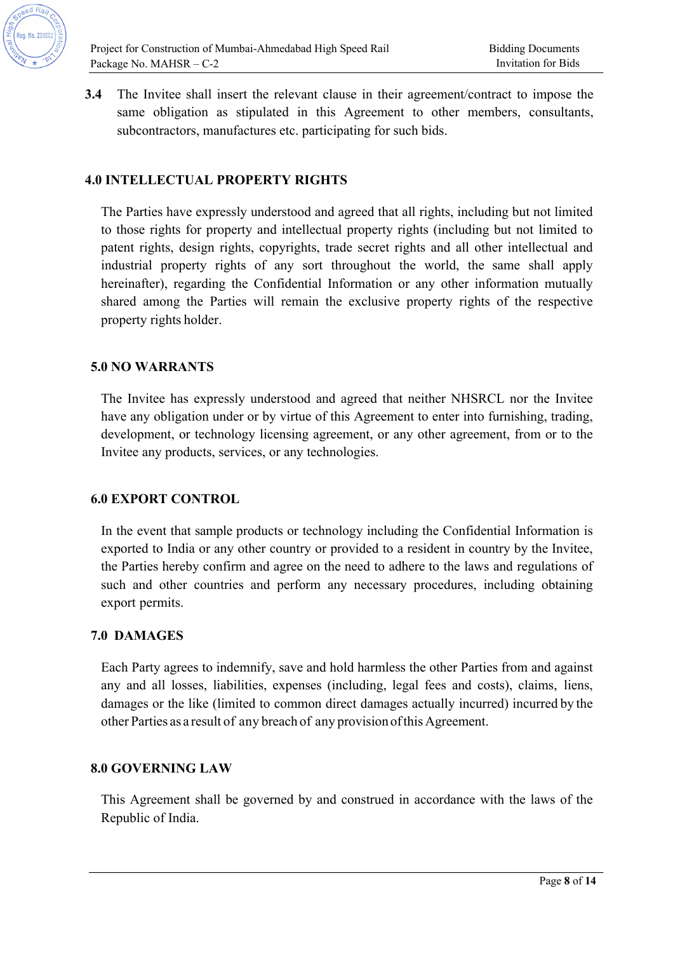

**3.4** The Invitee shall insert the relevant clause in their agreement/contract to impose the same obligation as stipulated in this Agreement to other members, consultants, subcontractors, manufactures etc. participating for such bids.

#### **4.0 INTELLECTUAL PROPERTY RIGHTS**

The Parties have expressly understood and agreed that all rights, including but not limited to those rights for property and intellectual property rights (including but not limited to patent rights, design rights, copyrights, trade secret rights and all other intellectual and industrial property rights of any sort throughout the world, the same shall apply hereinafter), regarding the Confidential Information or any other information mutually shared among the Parties will remain the exclusive property rights of the respective property rights holder.

#### **5.0 NO WARRANTS**

The Invitee has expressly understood and agreed that neither NHSRCL nor the Invitee have any obligation under or by virtue of this Agreement to enter into furnishing, trading, development, or technology licensing agreement, or any other agreement, from or to the Invitee any products, services, or any technologies.

#### **6.0 EXPORT CONTROL**

In the event that sample products or technology including the Confidential Information is exported to India or any other country or provided to a resident in country by the Invitee, the Parties hereby confirm and agree on the need to adhere to the laws and regulations of such and other countries and perform any necessary procedures, including obtaining export permits.

#### **7.0 DAMAGES**

Each Party agrees to indemnify, save and hold harmless the other Parties from and against any and all losses, liabilities, expenses (including, legal fees and costs), claims, liens, damages or the like (limited to common direct damages actually incurred) incurred by the other Parties as a result of any breach of any provision of this Agreement.

#### **8.0 GOVERNING LAW**

This Agreement shall be governed by and construed in accordance with the laws of the Republic of India.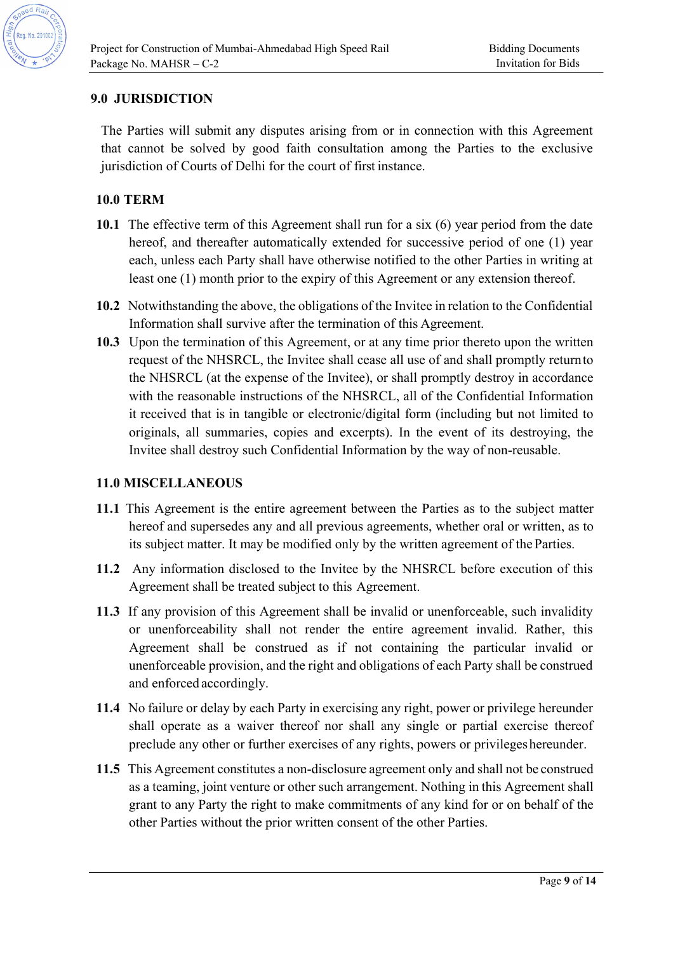

### **9.0 JURISDICTION**

The Parties will submit any disputes arising from or in connection with this Agreement that cannot be solved by good faith consultation among the Parties to the exclusive jurisdiction of Courts of Delhi for the court of first instance.

## **10.0 TERM**

- **10.1** The effective term of this Agreement shall run for a six (6) year period from the date hereof, and thereafter automatically extended for successive period of one (1) year each, unless each Party shall have otherwise notified to the other Parties in writing at least one (1) month prior to the expiry of this Agreement or any extension thereof.
- **10.2** Notwithstanding the above, the obligations of the Invitee in relation to the Confidential Information shall survive after the termination of this Agreement.
- **10.3** Upon the termination of this Agreement, or at any time prior thereto upon the written request of the NHSRCL, the Invitee shall cease all use of and shall promptly return to the NHSRCL (at the expense of the Invitee), or shall promptly destroy in accordance with the reasonable instructions of the NHSRCL, all of the Confidential Information it received that is in tangible or electronic/digital form (including but not limited to originals, all summaries, copies and excerpts). In the event of its destroying, the Invitee shall destroy such Confidential Information by the way of non-reusable.

#### **11.0 MISCELLANEOUS**

- **11.1** This Agreement is the entire agreement between the Parties as to the subject matter hereof and supersedes any and all previous agreements, whether oral or written, as to its subject matter. It may be modified only by the written agreement of the Parties.
- **11.2** Any information disclosed to the Invitee by the NHSRCL before execution of this Agreement shall be treated subject to this Agreement.
- **11.3** If any provision of this Agreement shall be invalid or unenforceable, such invalidity or unenforceability shall not render the entire agreement invalid. Rather, this Agreement shall be construed as if not containing the particular invalid or unenforceable provision, and the right and obligations of each Party shall be construed and enforced accordingly.
- **11.4** No failure or delay by each Party in exercising any right, power or privilege hereunder shall operate as a waiver thereof nor shall any single or partial exercise thereof preclude any other or further exercises of any rights, powers or privileges hereunder.
- **11.5** This Agreement constitutes a non-disclosure agreement only and shall not be construed as a teaming, joint venture or other such arrangement. Nothing in this Agreement shall grant to any Party the right to make commitments of any kind for or on behalf of the other Parties without the prior written consent of the other Parties.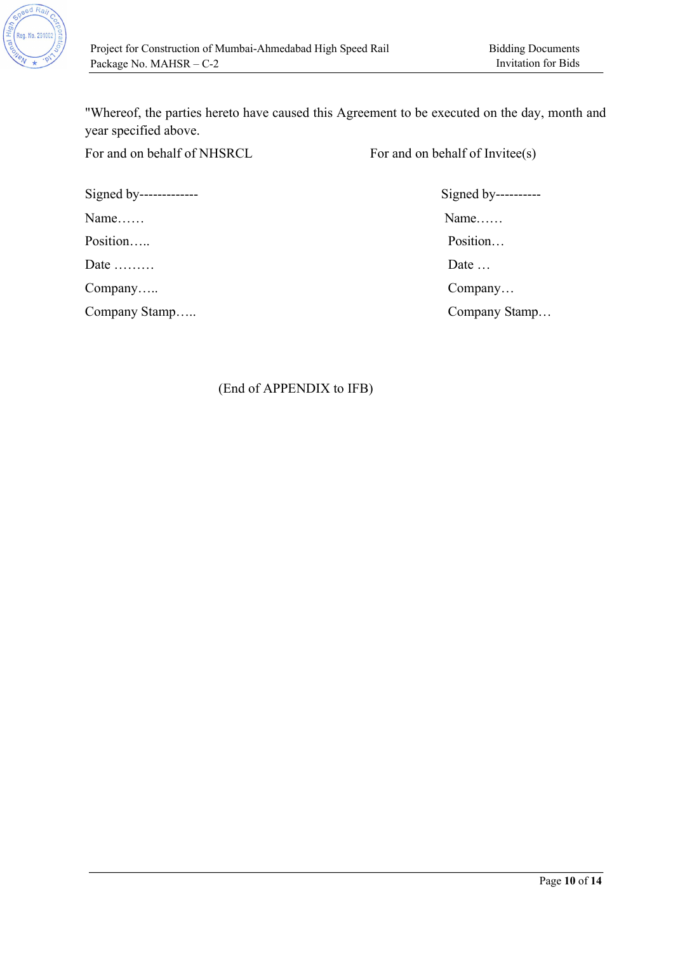

"Whereof, the parties hereto have caused this Agreement to be executed on the day, month and year specified above.

For and on behalf of NHSRCL For and on behalf of Invitee(s)

Signed by------------- Signed by---------- Name…… Name…… Position….. Position…. Date ………

Company Stamp….. Company Stamp…

Company….. Company…

(End of APPENDIX to IFB)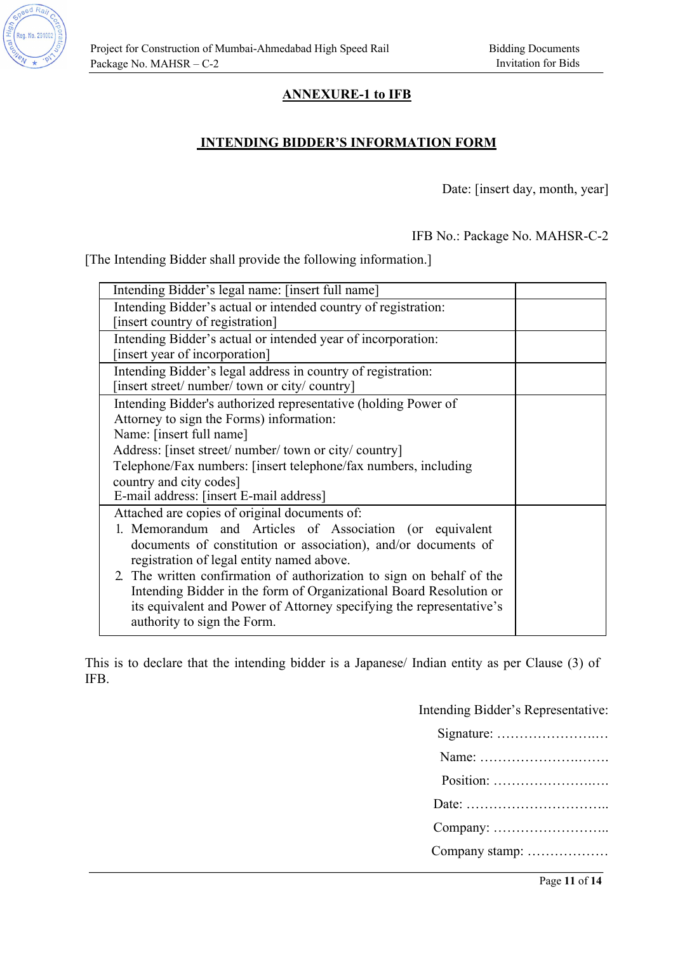

## **ANNEXURE-1 to IFB**

### **INTENDING BIDDER'S INFORMATION FORM**

Date: [insert day, month, year]

IFB No.: Package No. MAHSR-C-2

[The Intending Bidder shall provide the following information.]

| Intending Bidder's legal name: [insert full name]                     |  |
|-----------------------------------------------------------------------|--|
| Intending Bidder's actual or intended country of registration:        |  |
| [insert country of registration]                                      |  |
| Intending Bidder's actual or intended year of incorporation:          |  |
| [insert year of incorporation]                                        |  |
| Intending Bidder's legal address in country of registration:          |  |
| [insert street/ number/ town or city/ country]                        |  |
| Intending Bidder's authorized representative (holding Power of        |  |
| Attorney to sign the Forms) information:                              |  |
| Name: [insert full name]                                              |  |
| Address: [inset street/ number/ town or city/ country]                |  |
| Telephone/Fax numbers: [insert telephone/fax numbers, including       |  |
| country and city codes]                                               |  |
| E-mail address: [insert E-mail address]                               |  |
| Attached are copies of original documents of:                         |  |
| 1. Memorandum and Articles of Association (or equivalent              |  |
| documents of constitution or association), and/or documents of        |  |
| registration of legal entity named above.                             |  |
| 2. The written confirmation of authorization to sign on behalf of the |  |
| Intending Bidder in the form of Organizational Board Resolution or    |  |
| its equivalent and Power of Attorney specifying the representative's  |  |
| authority to sign the Form.                                           |  |

This is to declare that the intending bidder is a Japanese/ Indian entity as per Clause (3) of IFB.

> Intending Bidder's Representative: Signature: ………………….… Name: ………………….……. Position: ………………….…. Date: ………………………….. Company: …………………….. Company stamp: ………………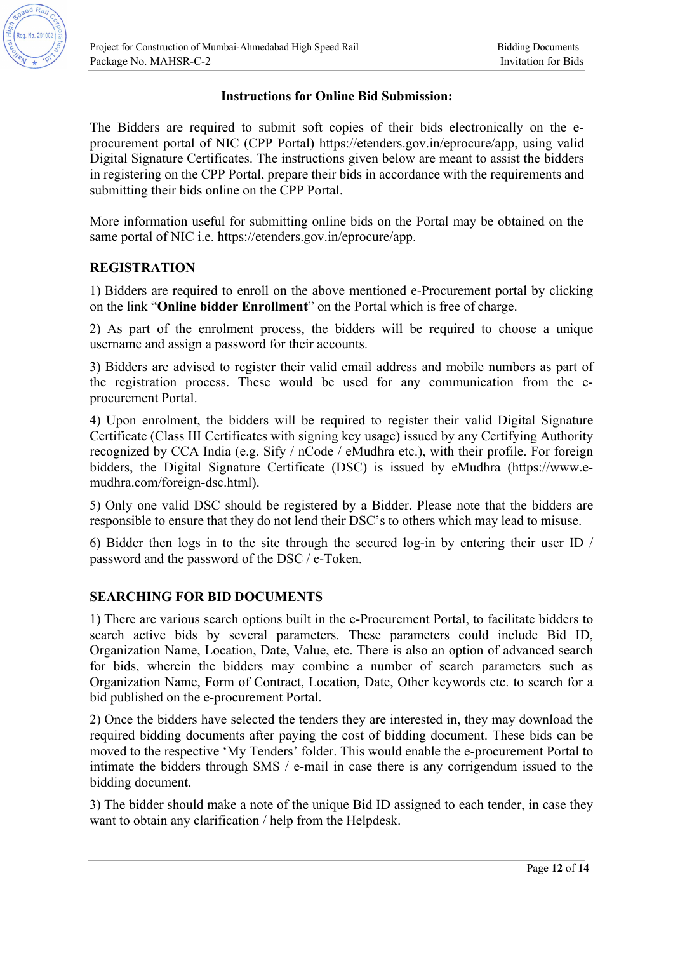

#### **Instructions for Online Bid Submission:**

The Bidders are required to submit soft copies of their bids electronically on the eprocurement portal of NIC (CPP Portal) https://etenders.gov.in/eprocure/app, using valid Digital Signature Certificates. The instructions given below are meant to assist the bidders in registering on the CPP Portal, prepare their bids in accordance with the requirements and submitting their bids online on the CPP Portal.

More information useful for submitting online bids on the Portal may be obtained on the same portal of NIC i.e. https://etenders.gov.in/eprocure/app.

#### **REGISTRATION**

1) Bidders are required to enroll on the above mentioned e-Procurement portal by clicking on the link "**Online bidder Enrollment**" on the Portal which is free of charge.

2) As part of the enrolment process, the bidders will be required to choose a unique username and assign a password for their accounts.

3) Bidders are advised to register their valid email address and mobile numbers as part of the registration process. These would be used for any communication from the eprocurement Portal.

4) Upon enrolment, the bidders will be required to register their valid Digital Signature Certificate (Class III Certificates with signing key usage) issued by any Certifying Authority recognized by CCA India (e.g. Sify / nCode / eMudhra etc.), with their profile. For foreign bidders, the Digital Signature Certificate (DSC) is issued by eMudhra (https://www.emudhra.com/foreign-dsc.html).

5) Only one valid DSC should be registered by a Bidder. Please note that the bidders are responsible to ensure that they do not lend their DSC's to others which may lead to misuse.

6) Bidder then logs in to the site through the secured log-in by entering their user ID / password and the password of the DSC / e-Token.

#### **SEARCHING FOR BID DOCUMENTS**

1) There are various search options built in the e-Procurement Portal, to facilitate bidders to search active bids by several parameters. These parameters could include Bid ID, Organization Name, Location, Date, Value, etc. There is also an option of advanced search for bids, wherein the bidders may combine a number of search parameters such as Organization Name, Form of Contract, Location, Date, Other keywords etc. to search for a bid published on the e-procurement Portal.

2) Once the bidders have selected the tenders they are interested in, they may download the required bidding documents after paying the cost of bidding document. These bids can be moved to the respective 'My Tenders' folder. This would enable the e-procurement Portal to intimate the bidders through SMS / e-mail in case there is any corrigendum issued to the bidding document.

3) The bidder should make a note of the unique Bid ID assigned to each tender, in case they want to obtain any clarification / help from the Helpdesk.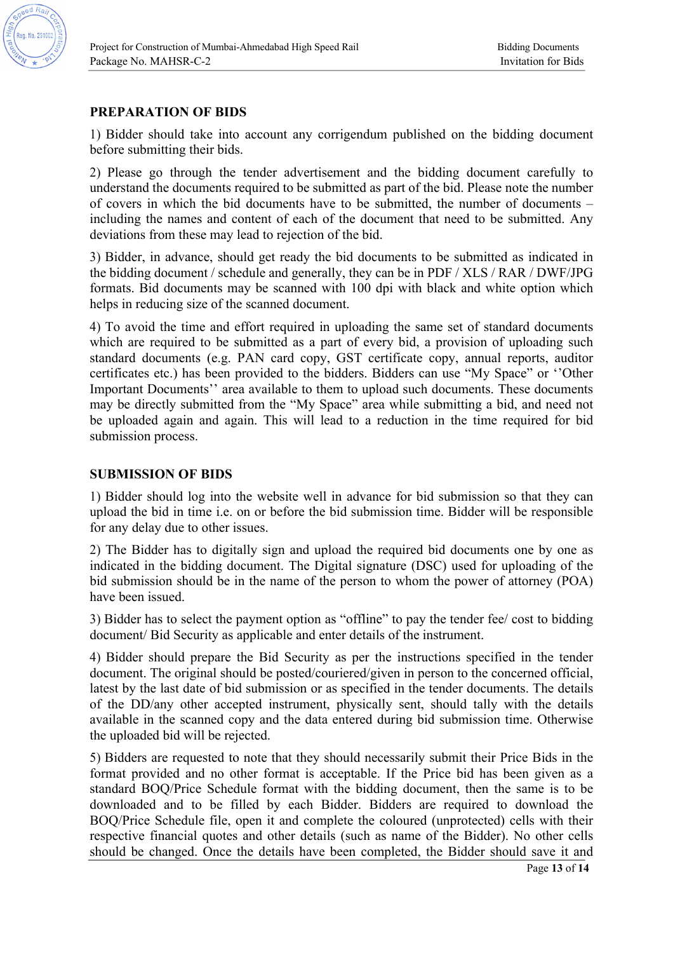

## **PREPARATION OF BIDS**

1) Bidder should take into account any corrigendum published on the bidding document before submitting their bids.

2) Please go through the tender advertisement and the bidding document carefully to understand the documents required to be submitted as part of the bid. Please note the number of covers in which the bid documents have to be submitted, the number of documents – including the names and content of each of the document that need to be submitted. Any deviations from these may lead to rejection of the bid.

3) Bidder, in advance, should get ready the bid documents to be submitted as indicated in the bidding document / schedule and generally, they can be in PDF / XLS / RAR / DWF/JPG formats. Bid documents may be scanned with 100 dpi with black and white option which helps in reducing size of the scanned document.

4) To avoid the time and effort required in uploading the same set of standard documents which are required to be submitted as a part of every bid, a provision of uploading such standard documents (e.g. PAN card copy, GST certificate copy, annual reports, auditor certificates etc.) has been provided to the bidders. Bidders can use "My Space" or ''Other Important Documents'' area available to them to upload such documents. These documents may be directly submitted from the "My Space" area while submitting a bid, and need not be uploaded again and again. This will lead to a reduction in the time required for bid submission process.

#### **SUBMISSION OF BIDS**

1) Bidder should log into the website well in advance for bid submission so that they can upload the bid in time i.e. on or before the bid submission time. Bidder will be responsible for any delay due to other issues.

2) The Bidder has to digitally sign and upload the required bid documents one by one as indicated in the bidding document. The Digital signature (DSC) used for uploading of the bid submission should be in the name of the person to whom the power of attorney (POA) have been issued.

3) Bidder has to select the payment option as "offline" to pay the tender fee/ cost to bidding document/ Bid Security as applicable and enter details of the instrument.

4) Bidder should prepare the Bid Security as per the instructions specified in the tender document. The original should be posted/couriered/given in person to the concerned official, latest by the last date of bid submission or as specified in the tender documents. The details of the DD/any other accepted instrument, physically sent, should tally with the details available in the scanned copy and the data entered during bid submission time. Otherwise the uploaded bid will be rejected.

5) Bidders are requested to note that they should necessarily submit their Price Bids in the format provided and no other format is acceptable. If the Price bid has been given as a standard BOQ/Price Schedule format with the bidding document, then the same is to be downloaded and to be filled by each Bidder. Bidders are required to download the BOQ/Price Schedule file, open it and complete the coloured (unprotected) cells with their respective financial quotes and other details (such as name of the Bidder). No other cells should be changed. Once the details have been completed, the Bidder should save it and